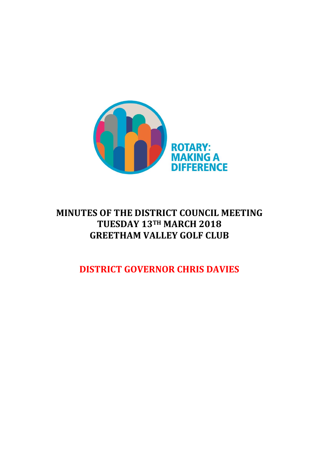

# **MINUTES OF THE DISTRICT COUNCIL MEETING TUESDAY 13TH MARCH 2018 GREETHAM VALLEY GOLF CLUB**

**DISTRICT GOVERNOR CHRIS DAVIES**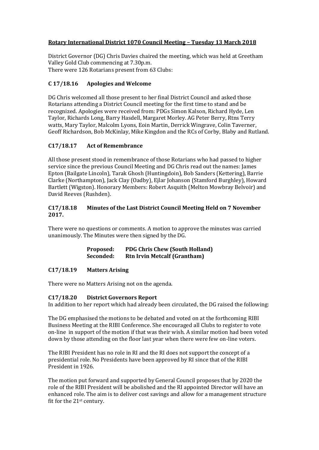## **Rotary International District 1070 Council Meeting – Tuesday 13 March 2018**

District Governor (DG) Chris Davies chaired the meeting, which was held at Greetham Valley Gold Club commencing at 7.30p.m.

There were 126 Rotarians present from 63 Clubs:

# **C 17/18.16 Apologies and Welcome**

DG Chris welcomed all those present to her final District Council and asked those Rotarians attending a District Council meeting for the first time to stand and be recognized. Apologies were received from: PDGs Simon Kalson, Richard Hyde, Len Taylor, Richards Long, Barry Hasdell, Margaret Morley. AG Peter Berry, Rtns Terry watts, Mary Taylor, Malcolm Lyons, Eoin Martin, Derrick Wingrave, Colin Taverner, Geoff Richardson, Bob McKinlay, Mike Kingdon and the RCs of Corby, Blaby and Rutland.

## **C17/18.17 Act of Remembrance**

All those present stood in remembrance of those Rotarians who had passed to higher service since the previous Council Meeting and DG Chris read out the names: James Epton (Bailgate Lincoln), Tarak Ghosh (Huntingdoin), Bob Sanders (Kettering), Barrie Clarke (Northampton), Jack Clay (Oadby), Ejlar Johanson (Stamford Burghley), Howard Bartlett (Wigston). Honorary Members: Robert Asquith (Melton Mowbray Belvoir) and David Reeves (Rushden).

## **C17/18.18 Minutes of the Last District Council Meeting Held on 7 November 2017.**

There were no questions or comments. A motion to approve the minutes was carried unanimously. The Minutes were then signed by the DG.

| Proposed: | <b>PDG Chris Chew (South Holland)</b> |
|-----------|---------------------------------------|
| Seconded: | <b>Rtn Irvin Metcalf (Grantham)</b>   |

## **C17/18.19 Matters Arising**

There were no Matters Arising not on the agenda.

## **C17/18.20 District Governors Report**

In addition to her report which had already been circulated, the DG raised the following:

The DG emphasised the motions to be debated and voted on at the forthcoming RIBI Business Meeting at the RIBI Conference. She encouraged all Clubs to register to vote on-line in support of the motion if that was their wish. A similar motion had been voted down by those attending on the floor last year when there were few on-line voters.

The RIBI President has no role in RI and the RI does not support the concept of a presidential role. No Presidents have been approved by RI since that of the RIBI President in 1926.

The motion put forward and supported by General Council proposes that by 2020 the role of the RIBI President will be abolished and the RI appointed Director will have an enhanced role. The aim is to deliver cost savings and allow for a management structure fit for the 21st century.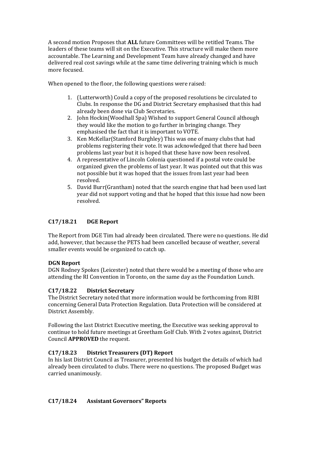A second motion Proposes that **ALL** future Committees will be retitled Teams. The leaders of these teams will sit on the Executive. This structure will make them more accountable. The Learning and Development Team have already changed and have delivered real cost savings while at the same time delivering training which is much more focused.

When opened to the floor, the following questions were raised:

- 1. (Lutterworth) Could a copy of the proposed resolutions be circulated to Clubs. In response the DG and District Secretary emphasised that this had already been done via Club Secretaries.
- 2. John Hockin(Woodhall Spa) Wished to support General Council although they would like the motion to go further in bringing change. They emphasised the fact that it is important to VOTE.
- 3. Ken McKellar(Stamford Burghley) This was one of many clubs that had problems registering their vote. It was acknowledged that there had been problems last year but it is hoped that these have now been resolved.
- 4. A representative of Lincoln Colonia questioned if a postal vote could be organized given the problems of last year. It was pointed out that this was not possible but it was hoped that the issues from last year had been resolved.
- 5. David Burr(Grantham) noted that the search engine that had been used last year did not support voting and that he hoped that this issue had now been resolved.

# **C17/18.21 DGE Report**

The Report from DGE Tim had already been circulated. There were no questions. He did add, however, that because the PETS had been cancelled because of weather, several smaller events would be organized to catch up.

# **DGN Report**

DGN Rodney Spokes (Leicester) noted that there would be a meeting of those who are attending the RI Convention in Toronto, on the same day as the Foundation Lunch.

# **C17/18.22 District Secretary**

The District Secretary noted that more information would be forthcoming from RIBI concerning General Data Protection Regulation. Data Protection will be considered at District Assembly.

Following the last District Executive meeting, the Executive was seeking approval to continue to hold future meetings at Greetham Golf Club. With 2 votes against, District Council **APPROVED** the request.

# **C17/18.23 District Treasurers (DT) Report**

In his last District Council as Treasurer, presented his budget the details of which had already been circulated to clubs. There were no questions. The proposed Budget was carried unanimously.

## **C17/18.24 Assistant Governors" Reports**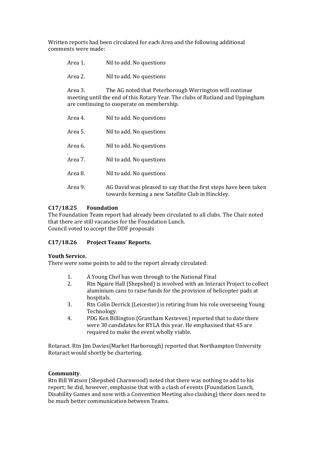Written reports had been circulated for each Area and the following additional comments were made:

| Area 1.                                                                                                                                                                                           | Nil to add. No questions                                                                                              |
|---------------------------------------------------------------------------------------------------------------------------------------------------------------------------------------------------|-----------------------------------------------------------------------------------------------------------------------|
| Area 2.                                                                                                                                                                                           | Nil to add. No questions                                                                                              |
| Area 3.<br>The AG noted that Peterborough Werrington will continue<br>meeting until the end of this Rotary Year. The clubs of Rutland and Uppingham<br>are continuing to cooperate on membership. |                                                                                                                       |
| Area 4.                                                                                                                                                                                           | Nil to add. No questions                                                                                              |
| Area 5.                                                                                                                                                                                           | Nil to add. No questions                                                                                              |
| Area 6.                                                                                                                                                                                           | Nil to add. No questions                                                                                              |
| Area 7.                                                                                                                                                                                           | Nil to add. No questions                                                                                              |
| Area 8.                                                                                                                                                                                           | Nil to add. No questions                                                                                              |
| Area 9.                                                                                                                                                                                           | AG David was pleased to say that the first steps have been taken<br>towards forming a new Satellite Club in Hinckley. |

# **C17/18.25 Foundation**

The Foundation Team report had already been circulated to all clubs. The Chair noted that there are still vacancies for the Foundation Lunch. Council voted to accept the DDF proposals

## **C17/18.26 Project Teams' Reports.**

## **Youth Service.**

There were some points to add to the report already circulated:

- 1. A Young Chef has won through to the National Final
- 2. Rtn Ngaire Hall (Shepshed) is involved with an Interact Project to collect aluminium cans to raise funds for the provision of helicopter pads at hospitals.
- 3. Rtn Colin Derrick (Leicester) is retiring from his role overseeing Young Technology.
- 4. PDG Ken Billington (Grantham Kesteven) reported that to date there were 30 candidates for RYLA this year. He emphasised that 45 are required to make the event wholly viable.

Rotaract. Rtn Jim Davies(Market Harborough) reported that Northampton University Rotaract would shortly be chartering.

## **Community**.

Rtn Bill Watson (Shepshed Charnwood) noted that there was nothing to add to his report; he did, however, emphasise that with a clash of events (Foundation Lunch, Disability Games and now with a Convention Meeting also clashing) there does need to be much better communication between Teams.